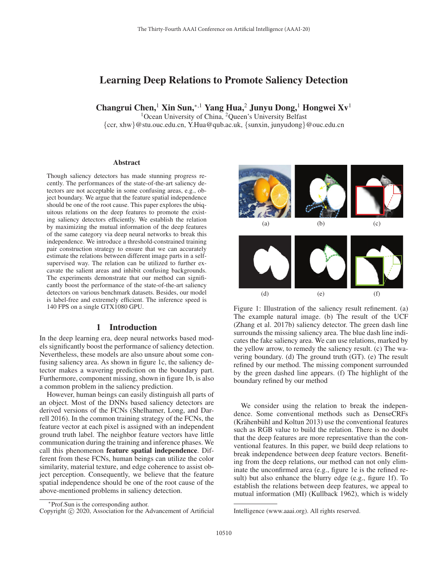# Learning Deep Relations to Promote Saliency Detection

Changrui Chen,<sup>1</sup> Xin Sun,∗,1 Yang Hua,<sup>2</sup> Junyu Dong,<sup>1</sup> Hongwei Xv<sup>1</sup>

<sup>1</sup>Ocean University of China, <sup>2</sup>Queen's University Belfast

{ccr, xhw}@stu.ouc.edu.cn, Y.Hua@qub.ac.uk, {sunxin, junyudong}@ouc.edu.cn

#### Abstract

Though saliency detectors has made stunning progress recently. The performances of the state-of-the-art saliency detectors are not acceptable in some confusing areas, e.g., object boundary. We argue that the feature spatial independence should be one of the root cause. This paper explores the ubiquitous relations on the deep features to promote the existing saliency detectors efficiently. We establish the relation by maximizing the mutual information of the deep features of the same category via deep neural networks to break this independence. We introduce a threshold-constrained training pair construction strategy to ensure that we can accurately estimate the relations between different image parts in a selfsupervised way. The relation can be utilized to further excavate the salient areas and inhibit confusing backgrounds. The experiments demonstrate that our method can significantly boost the performance of the state-of-the-art saliency detectors on various benchmark datasets. Besides, our model is label-free and extremely efficient. The inference speed is 140 FPS on a single GTX1080 GPU.

### 1 Introduction

In the deep learning era, deep neural networks based models significantly boost the performance of saliency detection. Nevertheless, these models are also unsure about some confusing saliency area. As shown in figure 1c, the saliency detector makes a wavering prediction on the boundary part. Furthermore, component missing, shown in figure 1b, is also a common problem in the saliency prediction.

However, human beings can easily distinguish all parts of an object. Most of the DNNs based saliency detectors are derived versions of the FCNs (Shelhamer, Long, and Darrell 2016). In the common training strategy of the FCNs, the feature vector at each pixel is assigned with an independent ground truth label. The neighbor feature vectors have little communication during the training and inference phases. We call this phenomenon feature spatial independence. Different from these FCNs, human beings can utilize the color similarity, material texture, and edge coherence to assist object perception. Consequently, we believe that the feature spatial independence should be one of the root cause of the above-mentioned problems in saliency detection.



Figure 1: Illustration of the saliency result refinement. (a) The example natural image. (b) The result of the UCF (Zhang et al. 2017b) saliency detector. The green dash line surrounds the missing saliency area. The blue dash line indicates the fake saliency area. We can use relations, marked by the yellow arrow, to remedy the saliency result. (c) The wavering boundary. (d) The ground truth (GT). (e) The result refined by our method. The missing component surrounded by the green dashed line appears. (f) The highlight of the boundary refined by our method

We consider using the relation to break the independence. Some conventional methods such as DenseCRFs (Krähenbühl and Koltun 2013) use the conventional features such as RGB value to build the relation. There is no doubt that the deep features are more representative than the conventional features. In this paper, we build deep relations to break independence between deep feature vectors. Benefiting from the deep relations, our method can not only eliminate the unconfirmed area (e.g., figure 1e is the refined result) but also enhance the blurry edge (e.g., figure 1f). To establish the relations between deep features, we appeal to mutual information (MI) (Kullback 1962), which is widely

<sup>∗</sup>Prof.Sun is the corresponding author.

Copyright  $\odot$  2020, Association for the Advancement of Artificial

Intelligence (www.aaai.org). All rights reserved.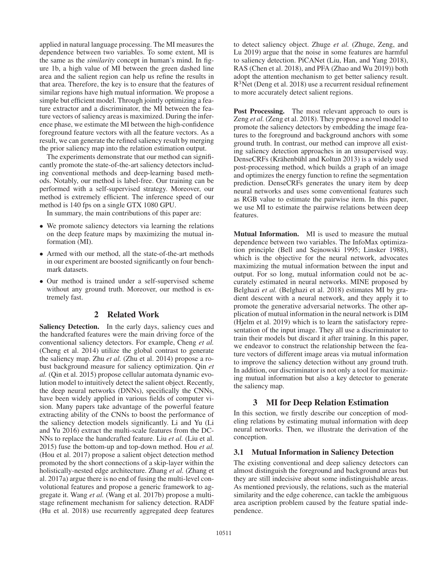applied in natural language processing. The MI measures the dependence between two variables. To some extent, MI is the same as the *similarity* concept in human's mind. In figure 1b, a high value of MI between the green dashed line area and the salient region can help us refine the results in that area. Therefore, the key is to ensure that the features of similar regions have high mutual information. We propose a simple but efficient model. Through jointly optimizing a feature extractor and a discriminator, the MI between the feature vectors of saliency areas is maximized. During the inference phase, we estimate the MI between the high-confidence foreground feature vectors with all the feature vectors. As a result, we can generate the refined saliency result by merging the prior saliency map into the relation estimation output.

The experiments demonstrate that our method can significantly promote the state-of-the-art saliency detectors including conventional methods and deep-learning based methods. Notably, our method is label-free. Our training can be performed with a self-supervised strategy. Moreover, our method is extremely efficient. The inference speed of our method is 140 fps on a single GTX 1080 GPU.

In summary, the main contributions of this paper are:

- We promote saliency detectors via learning the relations on the deep feature maps by maximizing the mutual information (MI).
- Armed with our method, all the state-of-the-art methods in our experiment are boosted significantly on four benchmark datasets.
- Our method is trained under a self-supervised scheme without any ground truth. Moreover, our method is extremely fast.

### 2 Related Work

Saliency Detection. In the early days, saliency cues and the handcrafted features were the main driving force of the conventional saliency detectors. For example, Cheng *et al.* (Cheng et al. 2014) utilize the global contrast to generate the saliency map. Zhu *et al.* (Zhu et al. 2014) propose a robust background measure for saliency optimization. Qin *et al.* (Qin et al. 2015) propose cellular automata dynamic evolution model to intuitively detect the salient object. Recently, the deep neural networks (DNNs), specifically the CNNs, have been widely applied in various fields of computer vision. Many papers take advantage of the powerful feature extracting ability of the CNNs to boost the performance of the saliency detection models significantly. Li and Yu (Li and Yu 2016) extract the multi-scale features from the DC-NNs to replace the handcrafted feature. Liu *et al.* (Liu et al. 2015) fuse the bottom-up and top-down method. Hou *et al.* (Hou et al. 2017) propose a salient object detection method promoted by the short connections of a skip-layer within the holistically-nested edge architecture. Zhang *et al.* (Zhang et al. 2017a) argue there is no end of fusing the multi-level convolutional features and propose a generic framework to aggregate it. Wang *et al.* (Wang et al. 2017b) propose a multistage refinement mechanism for saliency detection. RADF (Hu et al. 2018) use recurrently aggregated deep features

to detect saliency object. Zhuge *et al.* (Zhuge, Zeng, and Lu 2019) argue that the noise in some features are harmful to saliency detection. PiCANet (Liu, Han, and Yang 2018), RAS (Chen et al. 2018), and PFA (Zhao and Wu 2019)) both adopt the attention mechanism to get better saliency result. R3Net (Deng et al. 2018) use a recurrent residual refinement to more accurately detect salient regions.

Post Processing. The most relevant approach to ours is Zeng *et al.* (Zeng et al. 2018). They propose a novel model to promote the saliency detectors by embedding the image features to the foreground and background anchors with some ground truth. In contrast, our method can improve all existing saliency detection approaches in an unsupervised way. DenseCRFs (Krähenbühl and Koltun 2013) is a widely used post-processing method, which builds a graph of an image and optimizes the energy function to refine the segmentation prediction. DenseCRFs generates the unary item by deep neural networks and uses some conventional features such as RGB value to estimate the pairwise item. In this paper, we use MI to estimate the pairwise relations between deep features.

Mutual Information. MI is used to measure the mutual dependence between two variables. The InfoMax optimization principle (Bell and Sejnowski 1995; Linsker 1988), which is the objective for the neural network, advocates maximizing the mutual information between the input and output. For so long, mutual information could not be accurately estimated in neural networks. MINE proposed by Belghazi *et al.* (Belghazi et al. 2018) estimates MI by gradient descent with a neural network, and they apply it to promote the generative adversarial networks. The other application of mutual information in the neural network is DIM (Hjelm et al. 2019) which is to learn the satisfactory representation of the input image. They all use a discriminator to train their models but discard it after training. In this paper, we endeavor to construct the relationship between the feature vectors of different image areas via mutual information to improve the saliency detection without any ground truth. In addition, our discriminator is not only a tool for maximizing mutual information but also a key detector to generate the saliency map.

### 3 MI for Deep Relation Estimation

In this section, we firstly describe our conception of modeling relations by estimating mutual information with deep neural networks. Then, we illustrate the derivation of the conception.

#### 3.1 Mutual Information in Saliency Detection

The existing conventional and deep saliency detectors can almost distinguish the foreground and background areas but they are still indecisive about some indistinguishable areas. As mentioned previously, the relations, such as the material similarity and the edge coherence, can tackle the ambiguous area ascription problem caused by the feature spatial independence.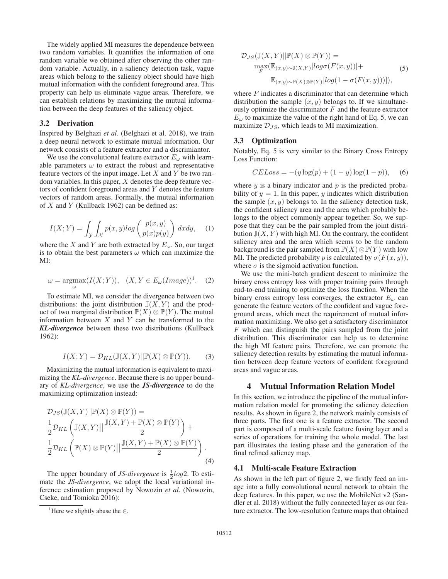The widely applied MI measures the dependence between two random variables. It quantifies the information of one random variable we obtained after observing the other random variable. Actually, in a saliency detection task, vague areas which belong to the saliency object should have high mutual information with the confident foreground area. This property can help us eliminate vague areas. Therefore, we can establish relations by maximizing the mutual information between the deep features of the saliency object.

#### 3.2 Derivation

Inspired by Belghazi *et al.* (Belghazi et al. 2018), we train a deep neural network to estimate mutual information. Our network consists of a feature extractor and a discrimiantor.

We use the convolutional feature extractor  $E_{\omega}$  with learnable parameters  $\omega$  to extract the robust and representative feature vectors of the input image. Let  $X$  and  $Y$  be two random variables. In this paper,  $X$  denotes the deep feature vectors of confident foreground areas and Y denotes the feature vectors of random areas. Formally, the mutual information of  $X$  and  $Y$  (Kullback 1962) can be defined as:

$$
I(X;Y) = \int_{\mathcal{Y}} \int_{\mathcal{X}} p(x,y) \log \left( \frac{p(x,y)}{p(x)p(y)} \right) dx dy, \quad (1)
$$

where the X and Y are both extracted by  $E_{\omega}$ . So, our target<br>is to obtain the best parameters  $\omega$  which can maximize the is to obtain the best parameters  $\omega$  which can maximize the MI:

$$
\omega = \underset{\omega}{\operatorname{argmax}} (I(X;Y)), \quad (X, Y \in E_{\omega}(Image))^1. \tag{2}
$$

To estimate MI, we consider the divergence between two distributions: the joint distribution  $\mathbb{J}(X, Y)$  and the product of two marginal distribution  $\mathbb{P}(X) \otimes \mathbb{P}(Y)$ . The mutual information between  $X$  and  $Y$  can be transformed to the *KL-divergence* between these two distributions (Kullback 1962):

$$
I(X;Y) = \mathcal{D}_{KL}(\mathbb{J}(X,Y)||\mathbb{P}(X)\otimes \mathbb{P}(Y)).
$$
 (3)

Maximizing the mutual information is equivalent to maximizing the *KL-divergence*. Because there is no upper boundary of *KL-divergence*, we use the *JS-divergence* to do the maximizing optimization instead:

$$
\mathcal{D}_{JS}(\mathbb{J}(X,Y)||\mathbb{P}(X)\otimes\mathbb{P}(Y)) =
$$
  
\n
$$
\frac{1}{2}\mathcal{D}_{KL}\left(\mathbb{J}(X,Y)||\frac{\mathbb{J}(X,Y)+\mathbb{P}(X)\otimes\mathbb{P}(Y)}{2}\right)+
$$
  
\n
$$
\frac{1}{2}\mathcal{D}_{KL}\left(\mathbb{P}(X)\otimes\mathbb{P}(Y)||\frac{\mathbb{J}(X,Y)+\mathbb{P}(X)\otimes\mathbb{P}(Y)}{2}\right).
$$
\n(4)

The upper boundary of *JS-divergence* is  $\frac{1}{2}log2$ . To esti-<br>the *IS-divergence* we adopt the local variational inmate the *JS-divergence*, we adopt the local variational inference estimation proposed by Nowozin *et al.* (Nowozin, Cseke, and Tomioka 2016):

$$
\mathcal{D}_{JS}(\mathbb{J}(X,Y)||\mathbb{P}(X) \otimes \mathbb{P}(Y)) =
$$
  
\n
$$
\max_{F}(\mathbb{E}_{(x,y)\sim\mathbb{J}(X,Y)}[log\sigma(F(x,y))]+\mathbb{E}_{(x,y)\sim\mathbb{P}(X)\otimes\mathbb{P}(Y)}[log(1-\sigma(F(x,y)))]),
$$
\n(5)

where  $F$  indicates a discriminator that can determine which distribution the sample  $(x, y)$  belongs to. If we simultaneously optimize the discriminator  $F$  and the feature extractor  $E_{\omega}$  to maximize the value of the right hand of Eq. 5, we can maximize  $\mathcal{D}_{JS}$ , which leads to MI maximization.

#### 3.3 Optimization

Notably, Eq. 5 is very similar to the Binary Cross Entropy Loss Function:

$$
CELoss = -(y \log(p) + (1 - y) \log(1 - p)), \quad (6)
$$

where  $y$  is a binary indicator and  $p$  is the predicted probability of  $y = 1$ . In this paper, y indicates which distribution the sample  $(x, y)$  belongs to. In the saliency detection task, the confident saliency area and the area which probably belongs to the object commonly appear together. So, we suppose that they can be the pair sampled from the joint distribution  $\mathbb{J}(X, Y)$  with high MI. On the contrary, the confident saliency area and the area which seems to be the random background is the pair sampled from  $\mathbb{P}(X)\otimes\mathbb{P}(Y)$  with low MI. The predicted probability p is calculated by  $\sigma(F(x, y))$ , where  $\sigma$  is the sigmoid activation function.

We use the mini-batch gradient descent to minimize the binary cross entropy loss with proper training pairs through end-to-end training to optimize the loss function. When the binary cross entropy loss converges, the extractor  $E_{\omega}$  can generate the feature vectors of the confident and vague foreground areas, which meet the requirement of mutual information maximizing. We also get a satisfactory discriminator  $F$  which can distinguish the pairs sampled from the joint distribution. This discriminator can help us to determine the high MI feature pairs. Therefore, we can promote the saliency detection results by estimating the mutual information between deep feature vectors of confident foreground areas and vague areas.

### 4 Mutual Information Relation Model

In this section, we introduce the pipeline of the mutual information relation model for promoting the saliency detection results. As shown in figure 2, the network mainly consists of three parts. The first one is a feature extractor. The second part is composed of a multi-scale feature fusing layer and a series of operations for training the whole model. The last part illustrates the testing phase and the generation of the final refined saliency map.

#### 4.1 Multi-scale Feature Extraction

As shown in the left part of figure 2, we firstly feed an image into a fully convolutional neural network to obtain the deep features. In this paper, we use the MobileNet v2 (Sandler et al. 2018) without the fully connected layer as our feature extractor. The low-resolution feature maps that obtained

<sup>&</sup>lt;sup>1</sup>Here we slightly abuse the  $\in$ .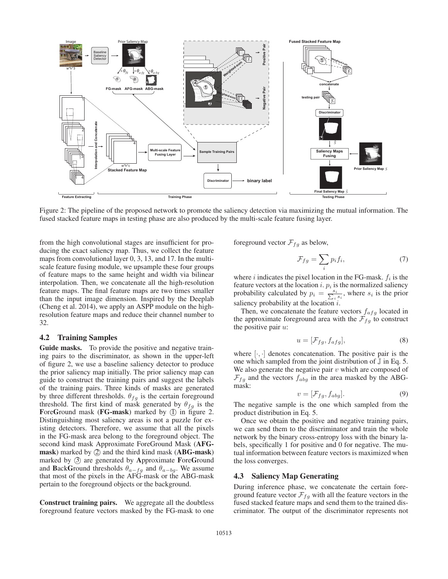

Figure 2: The pipeline of the proposed network to promote the saliency detection via maximizing the mutual information. The fused stacked feature maps in testing phase are also produced by the multi-scale feature fusing layer.

from the high convolutional stages are insufficient for producing the exact saliency map. Thus, we collect the feature maps from convolutional layer 0, 3, 13, and 17. In the multiscale feature fusing module, we upsample these four groups of feature maps to the same height and width via bilinear interpolation. Then, we concatenate all the high-resolution feature maps. The final feature maps are two times smaller than the input image dimension. Inspired by the Deeplab (Cheng et al. 2014), we apply an ASPP module on the highresolution feature maps and reduce their channel number to 32.

### 4.2 Training Samples

Guide masks. To provide the positive and negative training pairs to the discriminator, as shown in the upper-left of figure 2, we use a baseline saliency detector to produce the prior saliency map initially. The prior saliency map can guide to construct the training pairs and suggest the labels of the training pairs. Three kinds of masks are generated by three different thresholds.  $\theta_{fg}$  is the certain foreground threshold. The first kind of mask generated by  $\theta_{fq}$  is the ForeGround mask ( $FG$ -mask) marked by  $(I)$  in figure 2. Distinguishing most saliency areas is not a puzzle for existing detectors. Therefore, we assume that all the pixels in the FG-mask area belong to the foreground object. The second kind mask Approximate ForeGround Mask (AFGmask) marked by  $(2)$  and the third kind mask (ABG-mask) marked by  $\circled{3}$  are generated by Approximate ForeGround and BackGround thresholds  $\theta_{a-fg}$  and  $\theta_{a-bg}$ . We assume that most of the pixels in the AFG-mask or the ABG-mask pertain to the foreground objects or the background.

Construct training pairs. We aggregate all the doubtless foreground feature vectors masked by the FG-mask to one foreground vector  $\mathcal{F}_{fg}$  as below,

$$
\mathcal{F}_{fg} = \sum_{i} p_i f_i,\tag{7}
$$

where i indicates the pixel location in the FG-mask.  $f_i$  is the feature vectors at the location i.  $r_i$  is the normalized saliency feature vectors at the location  $i$ .  $p_i$  is the normalized saliency probability calculated by  $p_i = \frac{s_i}{\sum_i s_i}$ , where  $s_i$  is the prior saliency probability at the location  $i$ .

Then, we concatenate the feature vectors  $f_{\alpha fg}$  located in the approximate foreground area with the  $\mathcal{F}_{fq}$  to construct the positive pair  $u$ :

$$
u = [\mathcal{F}_{fg}, f_{afg}], \tag{8}
$$

where  $[\cdot, \cdot]$  denotes concatenation. The positive pair is the one which sampled from the joint distribution of  $J$  in Eq. 5. We also generate the negative pair  $v$  which are composed of  $\mathcal{F}_{fg}$  and the vectors  $f_{abg}$  in the area masked by the ABGmask:

$$
v = [\mathcal{F}_{fq}, f_{abq}]. \tag{9}
$$

 $v = [\mathcal{F}_{fg}, f_{abg}]$ . (9)<br>The negative sample is the one which sampled from the product distribution in Eq. 5.

Once we obtain the positive and negative training pairs, we can send them to the discriminator and train the whole network by the binary cross-entropy loss with the binary labels, specifically 1 for positive and 0 for negative. The mutual information between feature vectors is maximized when the loss converges.

#### 4.3 Saliency Map Generating

During inference phase, we concatenate the certain foreground feature vector  $\mathcal{F}_{fa}$  with all the feature vectors in the fused stacked feature maps and send them to the trained discriminator. The output of the discriminator represents not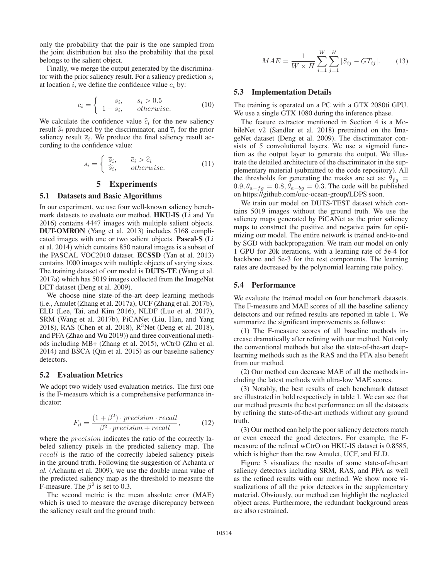only the probability that the pair is the one sampled from the joint distribution but also the probability that the pixel belongs to the salient object.

Finally, we merge the output generated by the discriminator with the prior saliency result. For a saliency prediction  $s_i$ at location  $i$ , we define the confidence value  $c_i$  by:

$$
c_i = \begin{cases} s_i, & s_i > 0.5\\ 1 - s_i, & otherwise. \end{cases}
$$
 (10)

We calculate the confidence value  $\hat{c}_i$  for the new saliency result  $\hat{s}_i$  produced by the discriminator, and  $\bar{c}_i$  for the prior saliency result  $\overline{s}_i$ . We produce the final saliency result according to the confidence value:

$$
s_i = \begin{cases} \overline{s}_i, & \overline{c}_i > \widehat{c}_i \\ \widehat{s}_i, & otherwise. \end{cases}
$$
 (11)

### 5 Experiments

#### 5.1 Datasets and Basic Algorithms

In our experiment, we use four well-known saliency benchmark datasets to evaluate our method. HKU-IS (Li and Yu 2016) contains 4447 images with multiple salient objects. DUT-OMRON (Yang et al. 2013) includes 5168 complicated images with one or two salient objects. Pascal-S (Li et al. 2014) which contains 850 natural images is a subset of the PASCAL VOC2010 dataset. ECSSD (Yan et al. 2013) contains 1000 images with multiple objects of varying sizes. The training dataset of our model is DUTS-TE (Wang et al. 2017a) which has 5019 images collected from the ImageNet DET dataset (Deng et al. 2009).

We choose nine state-of-the-art deep learning methods (i.e., Amulet (Zhang et al. 2017a), UCF (Zhang et al. 2017b), ELD (Lee, Tai, and Kim 2016), NLDF (Luo et al. 2017), SRM (Wang et al. 2017b), PiCANet (Liu, Han, and Yang 2018), RAS (Chen et al. 2018),  $R^3$ Net (Deng et al. 2018), and PFA (Zhao and Wu 2019)) and three conventional methods including MB+ (Zhang et al. 2015), wCtrO (Zhu et al. 2014) and BSCA (Qin et al. 2015) as our baseline saliency detectors.

### 5.2 Evaluation Metrics

We adopt two widely used evaluation metrics. The first one is the F-measure which is a comprehensive performance indicator:

$$
F_{\beta} = \frac{(1+\beta^2) \cdot precision \cdot recall}{\beta^2 \cdot precision + recall},
$$
 (12)  
where the *precision* indicates the ratio of the correctly la-

beled saliency pixels in the predicted saliency map. The recall is the ratio of the correctly labeled saliency pixels in the ground truth. Following the suggestion of Achanta *et al.* (Achanta et al. 2009), we use the double mean value of the predicted saliency map as the threshold to measure the F-measure. The  $\beta^2$  is set to 0.3.

The second metric is the mean absolute error (MAE) which is used to measure the average discrepancy between the saliency result and the ground truth:

$$
MAE = \frac{1}{W \times H} \sum_{i=1}^{W} \sum_{j=1}^{H} |S_{ij} - GT_{ij}|.
$$
 (13)

#### 5.3 Implementation Details

The training is operated on a PC with a GTX 2080ti GPU. We use a single GTX 1080 during the inference phase.

The feature extractor mentioned in Section 4 is a MobileNet v2 (Sandler et al. 2018) pretrained on the ImageNet dataset (Deng et al. 2009). The discriminator consists of 5 convolutional layers. We use a sigmoid function as the output layer to generate the output. We illustrate the detailed architecture of the discriminator in the supplementary material (submitted to the code repository). All the thresholds for generating the masks are set as:  $\theta_{fq}$  =  $0.9, \theta_{a-fg} = 0.8, \theta_{a-bg} = 0.3$ . The code will be published on https://github.com/ouc-ocean-group/LDPS soon.

We train our model on DUTS-TEST dataset which contains 5019 images without the ground truth. We use the saliency maps generated by PiCANet as the prior saliency maps to construct the positive and negative pairs for optimizing our model. The entire network is trained end-to-end by SGD with backpropagation. We train our model on only 1 GPU for 20k iterations, with a learning rate of 5e-4 for backbone and 5e-3 for the rest components. The learning rates are decreased by the polynomial learning rate policy.

#### 5.4 Performance

We evaluate the trained model on four benchmark datasets. The F-measure and MAE scores of all the baseline saliency detectors and our refined results are reported in table 1. We summarize the significant improvements as follows:

(1) The F-measure scores of all baseline methods increase dramatically after refining with our method. Not only the conventional methods but also the state-of-the-art deeplearning methods such as the RAS and the PFA also benefit from our method.

(2) Our method can decrease MAE of all the methods including the latest methods with ultra-low MAE scores.

(3) Notably, the best results of each benchmark dataset are illustrated in bold respectively in table 1. We can see that our method presents the best performance on all the datasets by refining the state-of-the-art methods without any ground truth.

(3) Our method can help the poor saliency detectors match or even exceed the good detectors. For example, the Fmeasure of the refined wCtrO on HKU-IS dataset is 0.8585, which is higher than the raw Amulet, UCF, and ELD.

Figure 3 visualizes the results of some state-of-the-art saliency detectors including SRM, RAS, and PFA as well as the refined results with our method. We show more visualizations of all the prior detectors in the supplementary material. Obviously, our method can highlight the neglected object areas. Furthermore, the redundant background areas are also restrained.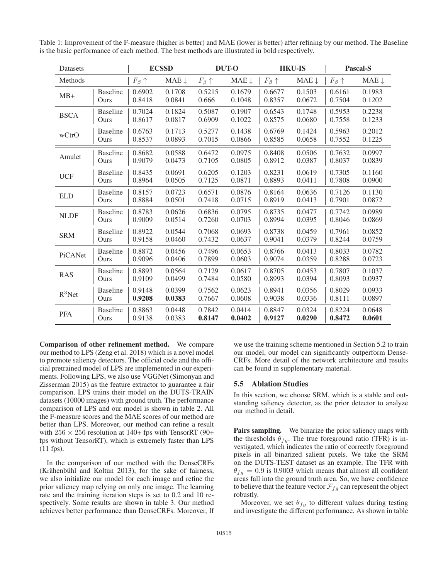Table 1: Improvement of the F-measure (higher is better) and MAE (lower is better) after refining by our method. The Baseline is the basic performance of each method. The best methods are illustrated in bold respectively.

| Datasets    |                 | <b>ECSSD</b>         |                  | <b>DUT-O</b>         |                  | <b>HKU-IS</b>        |                  | <b>Pascal-S</b>      |                  |
|-------------|-----------------|----------------------|------------------|----------------------|------------------|----------------------|------------------|----------------------|------------------|
| Methods     |                 | $F_{\beta} \uparrow$ | $MAE \downarrow$ | $F_{\beta} \uparrow$ | $MAE \downarrow$ | $F_{\beta} \uparrow$ | $MAE \downarrow$ | $F_{\beta} \uparrow$ | $MAE \downarrow$ |
| $MB+$       | <b>Baseline</b> | 0.6902               | 0.1708           | 0.5215               | 0.1679           | 0.6677               | 0.1503           | 0.6161               | 0.1983           |
|             | Ours            | 0.8418               | 0.0841           | 0.666                | 0.1048           | 0.8357               | 0.0672           | 0.7504               | 0.1202           |
| <b>BSCA</b> | <b>Baseline</b> | 0.7024               | 0.1824           | 0.5087               | 0.1907           | 0.6543               | 0.1748           | 0.5953               | 0.2238           |
|             | Ours            | 0.8617               | 0.0817           | 0.6909               | 0.1022           | 0.8575               | 0.0680           | 0.7558               | 0.1233           |
| wCtrO       | <b>Baseline</b> | 0.6763               | 0.1713           | 0.5277               | 0.1438           | 0.6769               | 0.1424           | 0.5963               | 0.2012           |
|             | Ours            | 0.8537               | 0.0893           | 0.7015               | 0.0866           | 0.8585               | 0.0658           | 0.7552               | 0.1225           |
| Amulet      | <b>Baseline</b> | 0.8682               | 0.0588           | 0.6472               | 0.0975           | 0.8408               | 0.0506           | 0.7632               | 0.0997           |
|             | Ours            | 0.9079               | 0.0473           | 0.7105               | 0.0805           | 0.8912               | 0.0387           | 0.8037               | 0.0839           |
| <b>UCF</b>  | <b>Baseline</b> | 0.8435               | 0.0691           | 0.6205               | 0.1203           | 0.8231               | 0.0619           | 0.7305               | 0.1160           |
|             | Ours            | 0.8964               | 0.0505           | 0.7125               | 0.0871           | 0.8893               | 0.0411           | 0.7808               | 0.0900           |
| <b>ELD</b>  | <b>Baseline</b> | 0.8157               | 0.0723           | 0.6571               | 0.0876           | 0.8164               | 0.0636           | 0.7126               | 0.1130           |
|             | Ours            | 0.8884               | 0.0501           | 0.7418               | 0.0715           | 0.8919               | 0.0413           | 0.7901               | 0.0872           |
| <b>NLDF</b> | <b>Baseline</b> | 0.8783               | 0.0626           | 0.6836               | 0.0795           | 0.8735               | 0.0477           | 0.7742               | 0.0989           |
|             | Ours            | 0.9009               | 0.0514           | 0.7260               | 0.0703           | 0.8994               | 0.0395           | 0.8046               | 0.0869           |
| <b>SRM</b>  | <b>Baseline</b> | 0.8922               | 0.0544           | 0.7068               | 0.0693           | 0.8738               | 0.0459           | 0.7961               | 0.0852           |
|             | Ours            | 0.9158               | 0.0460           | 0.7432               | 0.0637           | 0.9041               | 0.0379           | 0.8244               | 0.0759           |
| PiCANet     | <b>Baseline</b> | 0.8872               | 0.0456           | 0.7496               | 0.0653           | 0.8766               | 0.0413           | 0.8033               | 0.0782           |
|             | Ours            | 0.9096               | 0.0406           | 0.7899               | 0.0603           | 0.9074               | 0.0359           | 0.8288               | 0.0723           |
| <b>RAS</b>  | <b>Baseline</b> | 0.8893               | 0.0564           | 0.7129               | 0.0617           | 0.8705               | 0.0453           | 0.7807               | 0.1037           |
|             | Ours            | 0.9109               | 0.0499           | 0.7484               | 0.0580           | 0.8993               | 0.0394           | 0.8093               | 0.0937           |
| $R^3$ Net   | <b>Baseline</b> | 0.9148               | 0.0399           | 0.7562               | 0.0623           | 0.8941               | 0.0356           | 0.8029               | 0.0933           |
|             | Ours            | 0.9208               | 0.0383           | 0.7667               | 0.0608           | 0.9038               | 0.0336           | 0.8111               | 0.0897           |
| <b>PFA</b>  | <b>Baseline</b> | 0.8863               | 0.0448           | 0.7842               | 0.0414           | 0.8847               | 0.0324           | 0.8224               | 0.0648           |
|             | Ours            | 0.9138               | 0.0383           | 0.8147               | 0.0402           | 0.9127               | 0.0290           | 0.8472               | 0.0601           |

Comparison of other refinement method. We compare our method to LPS (Zeng et al. 2018) which is a novel model to promote saliency detectors. The official code and the official pretrained model of LPS are implemented in our experiments. Following LPS, we also use VGGNet (Simonyan and Zisserman 2015) as the feature extractor to guarantee a fair comparison. LPS trains their model on the DUTS-TRAIN datasets (10000 images) with ground truth. The performance comparison of LPS and our model is shown in table 2. All the F-measure scores and the MAE scores of our method are better than LPS. Moreover, our method can refine a result with 256  $\times$  256 resolution at 140+ fps with TensorRT (90+ fps without TensorRT), which is extremely faster than LPS (11 fps).

In the comparison of our method with the DenseCRFs (Krähenbühl and Koltun 2013), for the sake of fairness, we also initialize our model for each image and refine the prior saliency map relying on only one image. The learning rate and the training iteration steps is set to 0.2 and 10 respectively. Some results are shown in table 3. Our method achieves better performance than DenseCRFs. Moreover, If

we use the training scheme mentioned in Section 5.2 to train our model, our model can significantly outperform Dense-CRFs. More detail of the network architecture and results can be found in supplementary material.

#### 5.5 Ablation Studies

In this section, we choose SRM, which is a stable and outstanding saliency detector, as the prior detector to analyze our method in detail.

Pairs sampling. We binarize the prior saliency maps with the thresholds  $\theta_{fa}$ . The true foreground ratio (TFR) is investigated, which indicates the ratio of correctly foreground pixels in all binarized salient pixels. We take the SRM on the DUTS-TEST dataset as an example. The TFR with  $\theta_{fq} = 0.9$  is 0.9003 which means that almost all confident areas fall into the ground truth area. So, we have confidence to believe that the feature vector  $\mathcal{F}_{fg}$  can represent the object robustly.

Moreover, we set  $\theta_{fa}$  to different values during testing and investigate the different performance. As shown in table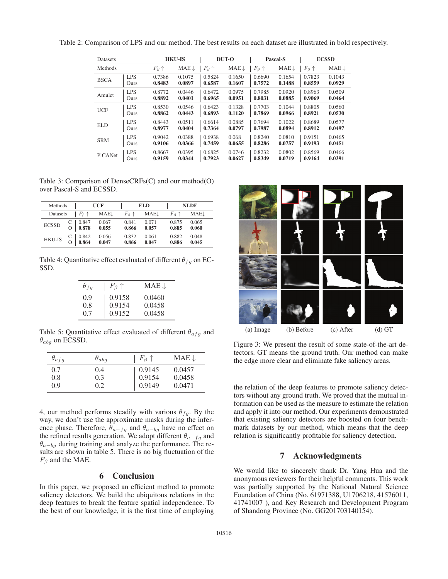| Datasets       |            | <b>HKU-IS</b>        |                  | DUT-O                |                  | Pascal-S             |                  | <b>ECSSD</b>         |                  |
|----------------|------------|----------------------|------------------|----------------------|------------------|----------------------|------------------|----------------------|------------------|
| <b>Methods</b> |            | $F_{\beta} \uparrow$ | $MAE \downarrow$ | $F_{\beta} \uparrow$ | $MAE \downarrow$ | $F_{\beta} \uparrow$ | $MAE \downarrow$ | $F_{\beta} \uparrow$ | $MAE \downarrow$ |
| <b>BSCA</b>    | <b>LPS</b> | 0.7386               | 0.1075           | 0.5824               | 0.1650           | 0.6690               | 0.1654           | 0.7823               | 0.1043           |
|                | Ours       | 0.8483               | 0.0897           | 0.6587               | 0.1607           | 0.7572               | 0.1488           | 0.8559               | 0.0929           |
| Amulet         | <b>LPS</b> | 0.8772               | 0.0446           | 0.6472               | 0.0975           | 0.7985               | 0.0920           | 0.8963               | 0.0509           |
|                | Ours       | 0.8892               | 0.0401           | 0.6965               | 0.0951           | 0.8031               | 0.0885           | 0.9069               | 0.0464           |
| <b>UCF</b>     | <b>LPS</b> | 0.8530               | 0.0546           | 0.6423               | 0.1328           | 0.7703               | 0.1044           | 0.8805               | 0.0560           |
|                | Ours       | 0.8862               | 0.0443           | 0.6893               | 0.1120           | 0.7869               | 0.0966           | 0.8921               | 0.0530           |
| ELD.           | <b>LPS</b> | 0.8443               | 0.0511           | 0.6614               | 0.0885           | 0.7694               | 0.1022           | 0.8689               | 0.0577           |
|                | Ours       | 0.8977               | 0.0404           | 0.7364               | 0.0797           | 0.7987               | 0.0894           | 0.8912               | 0.0497           |
| <b>SRM</b>     | <b>LPS</b> | 0.9042               | 0.0388           | 0.6938               | 0.068            | 0.8240               | 0.0810           | 0.9151               | 0.0465           |
|                | Ours       | 0.9106               | 0.0366           | 0.7459               | 0.0655           | 0.8286               | 0.0757           | 0.9193               | 0.0451           |
| PiCANet        | <b>LPS</b> | 0.8667               | 0.0395           | 0.6825               | 0.0746           | 0.8232               | 0.0802           | 0.8569               | 0.0466           |
|                | Ours       | 0.9159               | 0.0344           | 0.7923               | 0.0627           | 0.8349               | 0.0719           | 0.9164               | 0.0391           |

Table 2: Comparison of LPS and our method. The best results on each dataset are illustrated in bold respectively.

Table 3: Comparison of DenseCRFs(C) and our method(O) over Pascal-S and ECSSD.

| Methods       |   |                        | UCF            |                        | EL D           |                      | <b>NLDF</b>    |
|---------------|---|------------------------|----------------|------------------------|----------------|----------------------|----------------|
| Datasets      |   | $F_{\beta}$ $\uparrow$ | MAEJ           | $F_{\beta}$ $\uparrow$ | MAEJ           | $F_{\beta} \uparrow$ | MAEJ           |
| <b>ECSSD</b>  |   | $0.847$<br>$0.878$     | 0.067<br>0.055 | 0.841<br>0.866         | 0.071<br>0.057 | 0.875<br>0.885       | 0.065<br>0.060 |
| <b>HKU-IS</b> | O | 0.842<br>0.864         | 0.056<br>0.047 | 0.832<br>0.866         | 0.061<br>0.047 | 0.882<br>0.886       | 0.048<br>0.045 |

Table 4: Quantitative effect evaluated of different  $\theta_{fg}$  on EC-SSD.

| $\theta_{fa}$ | $F_{\beta} \uparrow$ | $MAE \downarrow$ |
|---------------|----------------------|------------------|
| 0.9           | 0.9158               | 0.0460           |
| 0.8           | 0.9154               | 0.0458           |
| 0.7           | 0.9152               | 0.0458           |

Table 5: Quantitative effect evaluated of different  $\theta_{\alpha fg}$  and  $\theta_{abg}$  on ECSSD.

| $\theta_{afg}$ | $\theta_{abg}$ | $F_{\beta} \uparrow$ | $MAE \downarrow$ |
|----------------|----------------|----------------------|------------------|
| 0.7            | 0.4            | 0.9145               | 0.0457           |
| 0.8            | 0.3            | 0.9154               | 0.0458           |
| 0.9            | 0.2            | 0.9149               | 0.0471           |

4, our method performs steadily with various  $\theta_{fa}$ . By the way, we don't use the approximate masks during the inference phase. Therefore,  $\theta_{a-fg}$  and  $\theta_{a-bg}$  have no effect on the refined results generation. We adopt different  $\theta$ the refined results generation. We adopt different  $\theta_{a-fg}$  and  $\theta_{a-fg}$  and analyze the performance. The re- $\theta_{a-bq}$  during training and analyze the performance. The results are shown in table 5. There is no big fluctuation of the  $F_\beta$  and the MAE.

### 6 Conclusion

In this paper, we proposed an efficient method to promote saliency detectors. We build the ubiquitous relations in the deep features to break the feature spatial independence. To the best of our knowledge, it is the first time of employing



Figure 3: We present the result of some state-of-the-art detectors. GT means the ground truth. Our method can make the edge more clear and eliminate fake saliency areas.

the relation of the deep features to promote saliency detectors without any ground truth. We proved that the mutual information can be used as the measure to estimate the relation and apply it into our method. Our experiments demonstrated that existing saliency detectors are boosted on four benchmark datasets by our method, which means that the deep relation is significantly profitable for saliency detection.

## 7 Acknowledgments

We would like to sincerely thank Dr. Yang Hua and the anonymous reviewers for their helpful comments. This work was partially supported by the National Natural Science Foundation of China (No. 61971388, U1706218, 41576011, 41741007 ), and Key Research and Development Program of Shandong Province (No. GG201703140154).